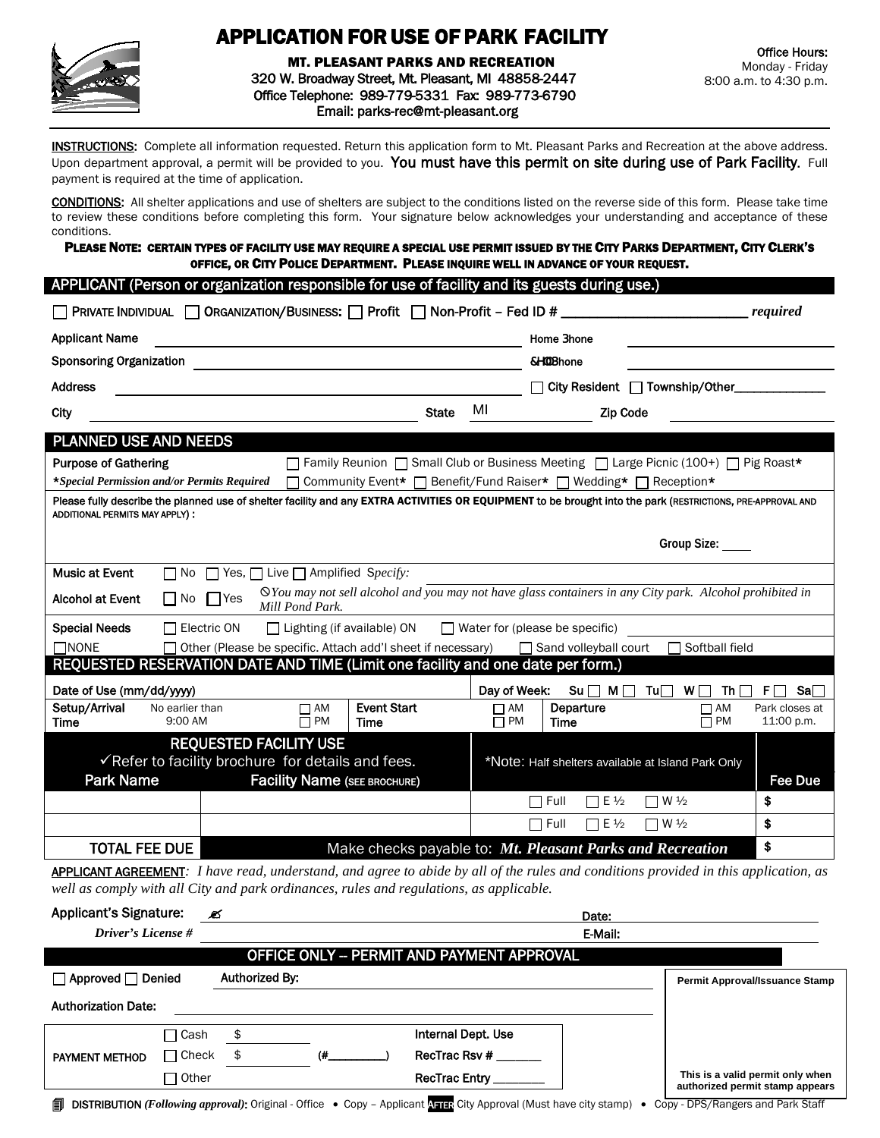

# APPLICATION FOR USE OF PARK FACILITY

MT. PLEASANT PARKS AND RECREATION 320 W. Broadway Street, Mt. Pleasant, MI 48858-2447 Office Telephone: 989-779-5331 Fax: 989-773-6790 Email: parks-rec@mt-pleasant.org

INSTRUCTIONS: Complete all information requested. Return this application form to Mt. Pleasant Parks and Recreation at the above address. Upon department approval, a permit will be provided to you. You must have this permit on site during use of Park Facility. Full payment is required at the time of application.

CONDITIONS: All shelter applications and use of shelters are subject to the conditions listed on the reverse side of this form. Please take time to review these conditions before completing this form. Your signature below acknowledges your understanding and acceptance of these conditions.

PLEASE NOTE: CERTAIN TYPES OF FACILITY USE MAY REQUIRE A SPECIAL USE PERMIT ISSUED BY THE CITY PARKS DEPARTMENT, CITY CLERK'S OFFICE, OR CITY POLICE DEPARTMENT. PLEASE INQUIRE WELL IN ADVANCE OF YOUR REQUEST.

| APPLICANT (Person or organization responsible for use of facility and its guests during use.)                                                                                                  |                                                                 |                                                                         |                             |                                                                                                          |                                                        |  |
|------------------------------------------------------------------------------------------------------------------------------------------------------------------------------------------------|-----------------------------------------------------------------|-------------------------------------------------------------------------|-----------------------------|----------------------------------------------------------------------------------------------------------|--------------------------------------------------------|--|
| ORGANIZATION/BUSINESS: □ Profit □ Non-Profit - Fed ID #<br><b>PRIVATE INDIVIDUAL</b><br><i>required</i>                                                                                        |                                                                 |                                                                         |                             |                                                                                                          |                                                        |  |
| <b>Applicant Name</b>                                                                                                                                                                          |                                                                 |                                                                         |                             | <b>Home Dhone</b>                                                                                        |                                                        |  |
| <b>Sponsoring Organization</b>                                                                                                                                                                 |                                                                 |                                                                         |                             | 7Y" Dhone                                                                                                |                                                        |  |
| <b>Address</b>                                                                                                                                                                                 |                                                                 |                                                                         |                             | City Resident   Township/Other_                                                                          |                                                        |  |
| City                                                                                                                                                                                           |                                                                 | <b>State</b>                                                            | МI                          | <b>Zip Code</b>                                                                                          |                                                        |  |
| <b>PLANNED USE AND NEEDS</b>                                                                                                                                                                   |                                                                 |                                                                         |                             |                                                                                                          |                                                        |  |
| <b>Purpose of Gathering</b>                                                                                                                                                                    |                                                                 |                                                                         |                             | $\Box$ Family Reunion $\Box$ Small Club or Business Meeting $\Box$ Large Picnic (100+) $\Box$ Pig Roast* |                                                        |  |
| *Special Permission and/or Permits Required                                                                                                                                                    |                                                                 |                                                                         |                             | Community Event* □ Benefit/Fund Raiser* □ Wedding* □ Reception*                                          |                                                        |  |
| Please fully describe the planned use of shelter facility and any EXTRA ACTIVITIES OR EQUIPMENT to be brought into the park (RESTRICTIONS, PRE-APPROVAL AND<br>ADDITIONAL PERMITS MAY APPLY) : |                                                                 |                                                                         |                             |                                                                                                          |                                                        |  |
|                                                                                                                                                                                                |                                                                 |                                                                         |                             |                                                                                                          | Group Size: _____                                      |  |
| <b>Music at Event</b><br>$\Box$ No                                                                                                                                                             | $\Box$ Yes, $\Box$ Live $\Box$ Amplified Specify:               |                                                                         |                             |                                                                                                          |                                                        |  |
| $\Diamond$ You may not sell alcohol and you may not have glass containers in any City park. Alcohol prohibited in<br><b>Alcohol at Event</b><br>$\Box$ No<br>$\Box$ Yes<br>Mill Pond Park.     |                                                                 |                                                                         |                             |                                                                                                          |                                                        |  |
| <b>Special Needs</b>                                                                                                                                                                           | $\Box$ Electric ON                                              | $\Box$ Lighting (if available) ON $\Box$ Water for (please be specific) |                             |                                                                                                          |                                                        |  |
| Other (Please be specific. Attach add'I sheet if necessary) □ Sand volleyball court<br>$\Box$ NONE<br>Softball field                                                                           |                                                                 |                                                                         |                             |                                                                                                          |                                                        |  |
| REQUESTED RESERVATION DATE AND TIME (Limit one facility and one date per form.)                                                                                                                |                                                                 |                                                                         |                             |                                                                                                          |                                                        |  |
| Date of Use (mm/dd/yyyy)                                                                                                                                                                       |                                                                 | Day of Week:                                                            | $Su \sqcap M \sqcap$<br>Tu∏ | W<br>Th $\Box$<br>F.<br>Sa⊟                                                                              |                                                        |  |
| Setup/Arrival<br>No earlier than<br>9:00 AM<br><b>Time</b>                                                                                                                                     | $\Box$ AM<br>$\Box$ PM                                          | <b>Event Start</b><br><b>Time</b>                                       | $\Box$ AM<br>$\Box$ PM      | Departure<br><b>Time</b>                                                                                 | Park closes at<br>$\Box$ AM<br>$\Box$ PM<br>11:00 p.m. |  |
| <b>REQUESTED FACILITY USE</b>                                                                                                                                                                  |                                                                 |                                                                         |                             |                                                                                                          |                                                        |  |
| √Refer to facility brochure for details and fees.                                                                                                                                              |                                                                 |                                                                         |                             | *Note: Half shelters available at Island Park Only                                                       |                                                        |  |
| <b>Park Name</b>                                                                                                                                                                               | <b>Facility Name (SEE BROCHURE)</b>                             |                                                                         |                             |                                                                                                          | <b>Fee Due</b>                                         |  |
|                                                                                                                                                                                                |                                                                 |                                                                         |                             | $\nabla$ W $\frac{1}{2}$<br>$\Box$ Full<br>$\Box$ E $\frac{1}{2}$                                        | \$                                                     |  |
|                                                                                                                                                                                                |                                                                 |                                                                         |                             | $\Box$ Full<br>$\Box$ E $\frac{1}{2}$<br>$\Box$ W $\frac{1}{2}$                                          | \$                                                     |  |
| <b>TOTAL FEE DUE</b>                                                                                                                                                                           | \$<br>Make checks payable to: Mt. Pleasant Parks and Recreation |                                                                         |                             |                                                                                                          |                                                        |  |

APPLICANT AGREEMENT*: I have read, understand, and agree to abide by all of the rules and conditions provided in this application, as well as comply with all City and park ordinances, rules and regulations, as applicable.*

| <b>Applicant's Signature:</b>                                                                                                                                                     |              | Ø              |    |                    | Date:   |                                                                     |  |
|-----------------------------------------------------------------------------------------------------------------------------------------------------------------------------------|--------------|----------------|----|--------------------|---------|---------------------------------------------------------------------|--|
| Driver's License #                                                                                                                                                                |              |                |    |                    | E-Mail: |                                                                     |  |
| <b>OFFICE ONLY - PERMIT AND PAYMENT APPROVAL</b>                                                                                                                                  |              |                |    |                    |         |                                                                     |  |
| $\Box$ Approved $\Box$ Denied                                                                                                                                                     |              | Authorized By: |    |                    |         | <b>Permit Approval/Issuance Stamp</b>                               |  |
| <b>Authorization Date:</b>                                                                                                                                                        |              |                |    |                    |         |                                                                     |  |
|                                                                                                                                                                                   | □ Cash       | \$             |    | Internal Dept. Use |         |                                                                     |  |
| <b>PAYMENT METHOD</b>                                                                                                                                                             | $\Box$ Check | \$             | (# | RecTrac Rsv #      |         |                                                                     |  |
|                                                                                                                                                                                   | Other        |                |    | RecTrac Entry      |         | This is a valid permit only when<br>authorized permit stamp appears |  |
| <b>DISTRIBUTION</b> (Following approval): Original - Office $\bullet$ Copy - Applicant <b>Applicant</b> City Approval (Must have city stamp)<br>Copy - DPS/Rangers and Park Staff |              |                |    |                    |         |                                                                     |  |